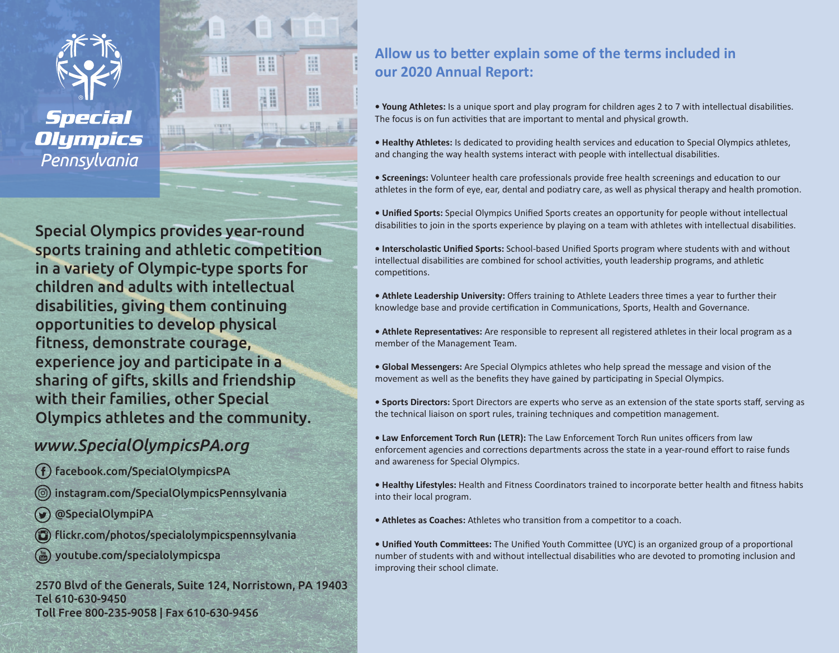

**Special Olympics** Pennsylvania



疆

H

↓田田

88

M

H

## *www.SpecialOlympicsPA.org*

- facebook.com/SpecialOlympicsPA
- instagram.com/SpecialOlympicsPennsylvania
- @SpecialOlympiPA
- flickr.com/photos/specialolympicspennsylvania
- youtube.com/specialolympicspa

2570 Blvd of the Generals, Suite 124, Norristown, PA 19403 Tel 610-630-9450 Toll Free 800-235-9058 | Fax 610-630-9456

## Allow us to better explain some of the terms included in **our 2020 Annual Report:**

• Young Athletes: Is a unique sport and play program for children ages 2 to 7 with intellectual disabilities. The focus is on fun activities that are important to mental and physical growth.

• Healthy Athletes: Is dedicated to providing health services and education to Special Olympics athletes, and changing the way health systems interact with people with intellectual disabilities.

• Screenings: Volunteer health care professionals provide free health screenings and education to our athletes in the form of eye, ear, dental and podiatry care, as well as physical therapy and health promotion.

**• Unified Sports:** Special Olympics Unified Sports creates an opportunity for people without intellectual disabilities to join in the sports experience by playing on a team with athletes with intellectual disabilities.

**• Interscholas�c Unified Sports:** School-based Unified Sports program where students with and without intellectual disabilities are combined for school activities, youth leadership programs, and athletic competitions.

• Athlete Leadership University: Offers training to Athlete Leaders three times a year to further their knowledge base and provide certification in Communications, Sports, Health and Governance.

• Athlete Representatives: Are responsible to represent all registered athletes in their local program as a member of the Management Team.

**• Global Messengers:** Are Special Olympics athletes who help spread the message and vision of the movement as well as the benefits they have gained by participating in Special Olympics.

**• Sports Directors:** Sport Directors are experts who serve as an extension of the state sports staff, serving as the technical liaison on sport rules, training techniques and competition management.

**• Law Enforcement Torch Run (LETR):** The Law Enforcement Torch Run unites officers from law enforcement agencies and corrections departments across the state in a year-round effort to raise funds and awareness for Special Olympics.

**• Healthy Lifestyles:** Health and Fitness Coordinators trained to incorporate be�er health and fitness habits into their local program.

• Athletes as Coaches: Athletes who transition from a competitor to a coach.

• Unified Youth Committees: The Unified Youth Committee (UYC) is an organized group of a proportional number of students with and without intellectual disabilities who are devoted to promoting inclusion and improving their school climate.